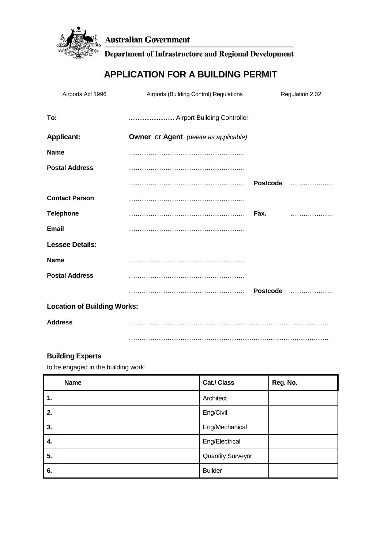

**Australian Government** 

**Department of Infrastructure and Regional Development** 

# **APPLICATION FOR A BUILDING PERMIT**

| Airports Act 1996                  | Airports (Building Control) Regulations             |                 | Regulation 2.02 |
|------------------------------------|-----------------------------------------------------|-----------------|-----------------|
| To:                                |                                                     |                 |                 |
| <b>Applicant:</b>                  | <b>Owner</b> or <b>Agent</b> (delete as applicable) |                 |                 |
| <b>Name</b>                        |                                                     |                 |                 |
| <b>Postal Address</b>              |                                                     |                 |                 |
|                                    |                                                     | <b>Postcode</b> | .               |
| <b>Contact Person</b>              |                                                     |                 |                 |
| <b>Telephone</b>                   |                                                     | Fax.            | .               |
| <b>Email</b>                       |                                                     |                 |                 |
| <b>Lessee Details:</b>             |                                                     |                 |                 |
| <b>Name</b>                        |                                                     |                 |                 |
| <b>Postal Address</b>              |                                                     |                 |                 |
|                                    |                                                     | <b>Postcode</b> | .               |
| <b>Location of Building Works:</b> |                                                     |                 |                 |
| <b>Address</b>                     |                                                     |                 |                 |
|                                    |                                                     |                 |                 |

# **Building Experts**

to be engaged in the building work:

|    | <b>Name</b> | Cat./ Class              | Reg. No. |
|----|-------------|--------------------------|----------|
| 1. |             | Architect                |          |
| 2. |             | Eng/Civil                |          |
| 3. |             | Eng/Mechanical           |          |
| 4. |             | Eng/Electrical           |          |
| 5. |             | <b>Quantity Surveyor</b> |          |
| 6. |             | <b>Builder</b>           |          |